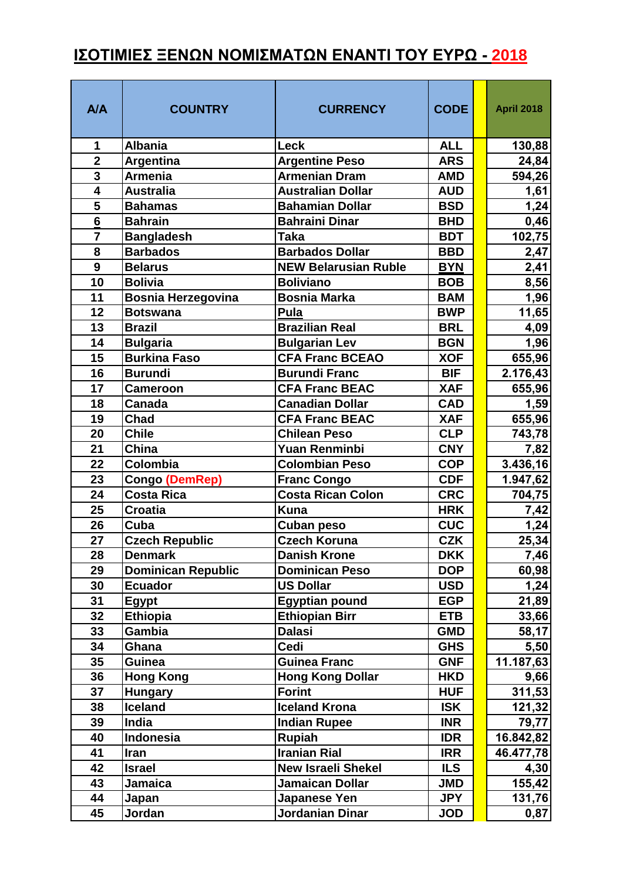## **ΙΣΟΤΙΜΙΕΣ ΞΕΝΩΝ ΝΟΜΙΣΜΑΤΩΝ ΕΝΑΝΤΙ ΤΟΥ ΕΥΡΩ - 2018**

| A/A                     | <b>COUNTRY</b>                   | <b>CURRENCY</b>                          | <b>CODE</b>              | <b>April 2018</b> |
|-------------------------|----------------------------------|------------------------------------------|--------------------------|-------------------|
| 1                       | <b>Albania</b>                   | <b>Leck</b>                              | <b>ALL</b>               | 130,88            |
| $\overline{2}$          | <b>Argentina</b>                 | <b>Argentine Peso</b>                    | <b>ARS</b>               | 24,84             |
| $\overline{\mathbf{3}}$ | <b>Armenia</b>                   | <b>Armenian Dram</b>                     | <b>AMD</b>               | 594,26            |
| $\overline{4}$          | <b>Australia</b>                 | <b>Australian Dollar</b>                 | <b>AUD</b>               | 1,61              |
| $\overline{\mathbf{5}}$ | <b>Bahamas</b>                   | <b>Bahamian Dollar</b>                   | <b>BSD</b>               | 1,24              |
| $\overline{6}$          | <b>Bahrain</b>                   | <b>Bahraini Dinar</b>                    | <b>BHD</b>               | 0,46              |
| $\overline{7}$          | <b>Bangladesh</b>                | <b>Taka</b>                              | <b>BDT</b>               | 102,75            |
| 8                       | <b>Barbados</b>                  | <b>Barbados Dollar</b>                   | <b>BBD</b>               | 2,47              |
| $\boldsymbol{9}$        | <b>Belarus</b>                   | <b>NEW Belarusian Ruble</b>              | <b>BYN</b>               | 2,41              |
| 10                      | <b>Bolivia</b>                   | <b>Boliviano</b>                         | <b>BOB</b>               | 8,56              |
| 11                      | <b>Bosnia Herzegovina</b>        | <b>Bosnia Marka</b>                      | <b>BAM</b>               | 1,96              |
| 12                      | <b>Botswana</b>                  | Pula                                     | <b>BWP</b>               | 11,65             |
| 13                      | <b>Brazil</b>                    | <b>Brazilian Real</b>                    | <b>BRL</b>               | 4,09              |
| 14                      | <b>Bulgaria</b>                  | <b>Bulgarian Lev</b>                     | <b>BGN</b>               | 1,96              |
| 15                      | <b>Burkina Faso</b>              | <b>CFA Franc BCEAO</b>                   | <b>XOF</b>               | 655,96            |
| 16                      | <b>Burundi</b>                   | <b>Burundi Franc</b>                     | <b>BIF</b>               | 2.176,43          |
| 17                      | <b>Cameroon</b>                  | <b>CFA Franc BEAC</b>                    | <b>XAF</b>               | 655,96            |
| 18                      | Canada                           | <b>Canadian Dollar</b>                   | <b>CAD</b>               | 1,59              |
| 19                      | Chad                             | <b>CFA Franc BEAC</b>                    | <b>XAF</b>               | 655,96            |
| 20                      | <b>Chile</b>                     | <b>Chilean Peso</b>                      | <b>CLP</b>               | 743,78            |
| 21                      | China                            | <b>Yuan Renminbi</b>                     | <b>CNY</b>               | 7,82              |
| 22                      | Colombia                         | <b>Colombian Peso</b>                    | <b>COP</b>               | 3.436,16          |
| 23                      | <b>Congo (DemRep)</b>            | <b>Franc Congo</b>                       | <b>CDF</b>               | 1.947,62          |
| 24                      | <b>Costa Rica</b>                | <b>Costa Rican Colon</b>                 | <b>CRC</b>               | 704,75            |
| 25                      | <b>Croatia</b>                   | <b>Kuna</b>                              | <b>HRK</b>               | 7,42              |
| 26                      | Cuba                             | <b>Cuban peso</b>                        | <b>CUC</b>               | 1,24              |
| 27                      | <b>Czech Republic</b>            | <b>Czech Koruna</b>                      | <b>CZK</b>               | 25,34             |
| 28                      | <b>Denmark</b>                   | <b>Danish Krone</b>                      | <b>DKK</b>               | 7,46              |
| 29                      | <b>Dominican Republic</b>        | Dominican Peso                           | <b>DOP</b>               | 60,98             |
| 30                      | <b>Ecuador</b>                   | <b>US Dollar</b>                         | <b>USD</b>               | 1,24              |
| 31                      | Egypt                            | <b>Egyptian pound</b>                    | <b>EGP</b>               | 21,89             |
| 32                      | <b>Ethiopia</b>                  | <b>Ethiopian Birr</b>                    | <b>ETB</b>               | 33,66             |
| 33                      | Gambia                           | <b>Dalasi</b><br>Cedi                    | <b>GMD</b>               | 58,17             |
| 34<br>35                | Ghana<br>Guinea                  | <b>Guinea Franc</b>                      | <b>GHS</b><br><b>GNF</b> | 5,50              |
| 36                      |                                  |                                          | <b>HKD</b>               | 11.187,63         |
| 37                      | <b>Hong Kong</b>                 | <b>Hong Kong Dollar</b><br><b>Forint</b> | <b>HUF</b>               | 9,66<br>311,53    |
| 38                      | <b>Hungary</b><br><b>Iceland</b> | <b>Iceland Krona</b>                     | <b>ISK</b>               | 121,32            |
| 39                      | India                            | <b>Indian Rupee</b>                      | <b>INR</b>               | 79,77             |
| 40                      | Indonesia                        | <b>Rupiah</b>                            | <b>IDR</b>               | 16.842,82         |
| 41                      | Iran                             | <b>Iranian Rial</b>                      | <b>IRR</b>               | 46.477,78         |
| 42                      | <b>Israel</b>                    | <b>New Israeli Shekel</b>                | <b>ILS</b>               | 4,30              |
| 43                      | <b>Jamaica</b>                   | <b>Jamaican Dollar</b>                   | <b>JMD</b>               | 155,42            |
| 44                      | Japan                            | Japanese Yen                             | <b>JPY</b>               | 131,76            |
| 45                      | Jordan                           | Jordanian Dinar                          | <b>JOD</b>               | 0,87              |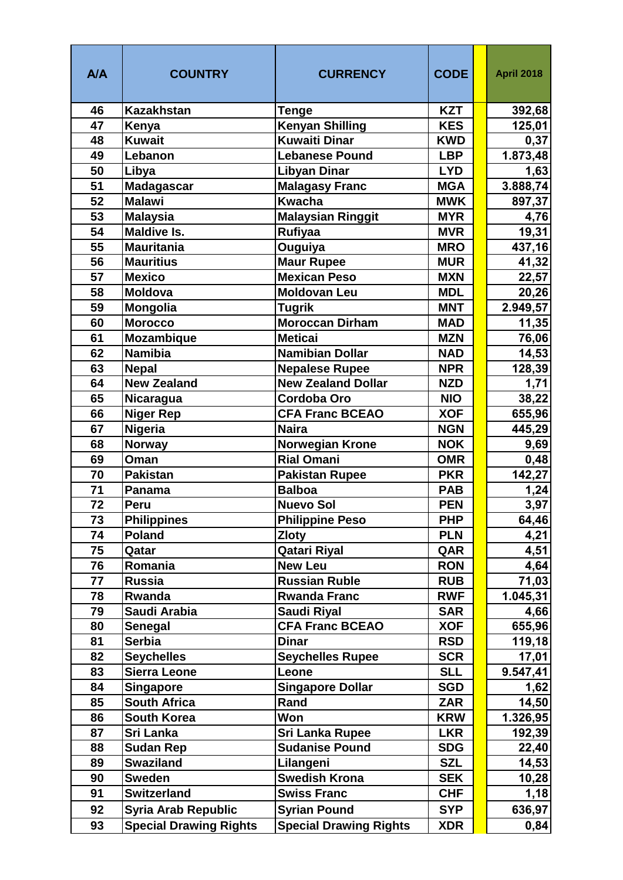| A/A | <b>COUNTRY</b>                | <b>CURRENCY</b>               | <b>CODE</b> | <b>April 2018</b> |
|-----|-------------------------------|-------------------------------|-------------|-------------------|
| 46  | Kazakhstan                    | <b>Tenge</b>                  | <b>KZT</b>  | 392,68            |
| 47  | Kenya                         | <b>Kenyan Shilling</b>        | <b>KES</b>  | 125,01            |
| 48  | <b>Kuwait</b>                 | Kuwaiti Dinar                 | <b>KWD</b>  | 0,37              |
| 49  | Lebanon                       | <b>Lebanese Pound</b>         | <b>LBP</b>  | 1.873,48          |
| 50  | Libya                         | <b>Libyan Dinar</b>           | <b>LYD</b>  | 1,63              |
| 51  | <b>Madagascar</b>             | <b>Malagasy Franc</b>         | <b>MGA</b>  | 3.888,74          |
| 52  | <b>Malawi</b>                 | <b>Kwacha</b>                 | <b>MWK</b>  | 897,37            |
| 53  | <b>Malaysia</b>               | <b>Malaysian Ringgit</b>      | <b>MYR</b>  | 4,76              |
| 54  | <b>Maldive Is.</b>            | Rufiyaa                       | <b>MVR</b>  | 19,31             |
| 55  | <b>Mauritania</b>             | Ouguiya                       | <b>MRO</b>  | 437,16            |
| 56  | <b>Mauritius</b>              | <b>Maur Rupee</b>             | <b>MUR</b>  | 41,32             |
| 57  | <b>Mexico</b>                 | <b>Mexican Peso</b>           | <b>MXN</b>  | 22,57             |
| 58  | <b>Moldova</b>                | <b>Moldovan Leu</b>           | <b>MDL</b>  | 20,26             |
| 59  | <b>Mongolia</b>               | <b>Tugrik</b>                 | <b>MNT</b>  | 2.949,57          |
| 60  | <b>Morocco</b>                | Moroccan Dirham               | <b>MAD</b>  | 11,35             |
| 61  | Mozambique                    | <b>Meticai</b>                | <b>MZN</b>  | 76,06             |
| 62  | <b>Namibia</b>                | <b>Namibian Dollar</b>        | <b>NAD</b>  | 14,53             |
| 63  | <b>Nepal</b>                  | <b>Nepalese Rupee</b>         | <b>NPR</b>  | 128,39            |
| 64  | <b>New Zealand</b>            | <b>New Zealand Dollar</b>     | <b>NZD</b>  | 1,71              |
| 65  | Nicaragua                     | <b>Cordoba Oro</b>            | <b>NIO</b>  | 38,22             |
| 66  | <b>Niger Rep</b>              | <b>CFA Franc BCEAO</b>        | <b>XOF</b>  | 655,96            |
| 67  | <b>Nigeria</b>                | <b>Naira</b>                  | <b>NGN</b>  | 445,29            |
| 68  | <b>Norway</b>                 | <b>Norwegian Krone</b>        | <b>NOK</b>  | 9,69              |
| 69  | Oman                          | <b>Rial Omani</b>             | <b>OMR</b>  | 0,48              |
| 70  | <b>Pakistan</b>               | <b>Pakistan Rupee</b>         | <b>PKR</b>  | 142,27            |
| 71  | Panama                        | <b>Balboa</b>                 | <b>PAB</b>  | 1,24              |
| 72  | Peru                          | <b>Nuevo Sol</b>              | <b>PEN</b>  | 3,97              |
| 73  | <b>Philippines</b>            | <b>Philippine Peso</b>        | <b>PHP</b>  | 64,46             |
| 74  | <b>Poland</b>                 | <b>Zloty</b>                  | <b>PLN</b>  | 4,21              |
| 75  | Qatar                         | <b>Qatari Riyal</b>           | QAR         | 4,51              |
| 76  | Romania                       | <b>New Leu</b>                | <b>RON</b>  | 4,64              |
| 77  | <b>Russia</b>                 | <b>Russian Ruble</b>          | <b>RUB</b>  | 71,03             |
| 78  | Rwanda                        | <b>Rwanda Franc</b>           | <b>RWF</b>  | 1.045,31          |
| 79  | Saudi Arabia                  | Saudi Riyal                   | <b>SAR</b>  | 4,66              |
| 80  | <b>Senegal</b>                | <b>CFA Franc BCEAO</b>        | <b>XOF</b>  | 655,96            |
| 81  | <b>Serbia</b>                 | <b>Dinar</b>                  | <b>RSD</b>  | 119,18            |
| 82  | <b>Seychelles</b>             | <b>Seychelles Rupee</b>       | <b>SCR</b>  | 17,01             |
| 83  | <b>Sierra Leone</b>           | Leone                         | <b>SLL</b>  | 9.547,41          |
| 84  | <b>Singapore</b>              | <b>Singapore Dollar</b>       | <b>SGD</b>  | 1,62              |
| 85  | <b>South Africa</b>           | Rand                          | <b>ZAR</b>  | 14,50             |
| 86  | <b>South Korea</b>            | <b>Won</b>                    | <b>KRW</b>  | 1.326,95          |
| 87  | Sri Lanka                     | Sri Lanka Rupee               | <b>LKR</b>  | 192,39            |
| 88  | <b>Sudan Rep</b>              | <b>Sudanise Pound</b>         | <b>SDG</b>  | 22,40             |
| 89  | <b>Swaziland</b>              | Lilangeni                     | <b>SZL</b>  | 14,53             |
| 90  | <b>Sweden</b>                 | <b>Swedish Krona</b>          | <b>SEK</b>  | 10,28             |
| 91  | <b>Switzerland</b>            | <b>Swiss Franc</b>            | <b>CHF</b>  | 1,18              |
| 92  | <b>Syria Arab Republic</b>    | <b>Syrian Pound</b>           | <b>SYP</b>  | 636,97            |
| 93  | <b>Special Drawing Rights</b> | <b>Special Drawing Rights</b> | <b>XDR</b>  | 0,84              |
|     |                               |                               |             |                   |